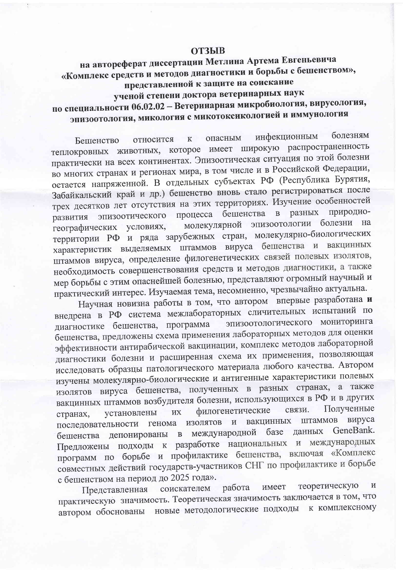## **ОТЗЫВ**

## на автореферат диссертации Метлина Артема Евгеньевича «Комплекс средств и методов диагностики и борьбы с бешенством», представленной к защите на соискание

ученой степени доктора ветеринарных наук

## по специальности 06.02.02 - Ветеринарная микробиология, вирусология, эпизоотология, микология с микотоксикологией и иммунология

инфекционным болезням опасным относится  $\mathbf{K}$ Бешенство теплокровных животных, которое имеет широкую распространенность практически на всех континентах. Эпизоотическая ситуация по этой болезни во многих странах и регионах мира, в том числе и в Российской Федерации, остается напряженной. В отдельных субъектах РФ (Республика Бурятия, Забайкальский край и др.) бешенство вновь стало регистрироваться после трех десятков лет отсутствия на этих территориях. Изучение особенностей процесса бешенства в разных природноэпизоотического развития молекулярной эпизоотологии болезни на географических условиях, территории РФ и ряда зарубежных стран, молекулярно-биологических характеристик выделяемых штаммов вируса бешенства и вакцинных штаммов вируса, определение филогенетических связей полевых изолятов, необходимость совершенствования средств и методов диагностики, а также мер борьбы с этим опаснейшей болезнью, представляют огромный научный и практический интерес. Изучаемая тема, несомненно, чрезвычайно актуальна.

Научная новизна работы в том, что автором впервые разработана и внедрена в РФ система межлабораторных сличительных испытаний по эпизоотологического мониторинга диагностике бешенства, программа бешенства, предложены схема применения лабораторных методов для оценки эффективности антирабической вакцинации, комплекс методов лабораторной диагностики болезни и расширенная схема их применения, позволяющая исследовать образцы патологического материала любого качества. Автором изучены молекулярно-биологические и антигенные характеристики полевых изолятов вируса бешенства, полученных в разных странах, а также вакцинных штаммов возбудителя болезни, использующихся в РФ и в других Полученные филогенетические связи. **HX** установлены странах, штаммов вируса последовательности генома изолятов и вакцинных бешенства депонированы в международной базе данных GeneBank. Предложены подходы к разработке национальных и международных программ по борьбе и профилактике бешенства, включая «Комплекс совместных действий государств-участников СНГ по профилактике и борьбе с бешенством на период до 2025 года».

теоретическую  $\,$  M работа имеет Представленная соискателем практическую значимость. Теоретическая значимость заключается в том, что автором обоснованы новые методологические подходы к комплексному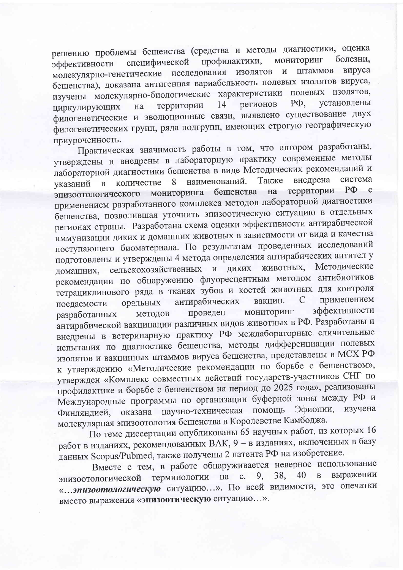решению проблемы бешенства (средства и методы диагностики, оценка болезни, мониторинг специфической профилактики, эффективности молекулярно-генетические исследования изолятов вируса и штаммов бешенства), доказана антигенная вариабельность полевых изолятов вируса, изучены молекулярно-биологические характеристики полевых изолятов, установлены  $P\Phi$ , территории 14 регионов ширкулирующих на филогенетические и эволюционные связи, выявлено существование двух филогенетических групп, ряда подгрупп, имеющих строгую географическую приуроченность.

Практическая значимость работы в том, что автором разработаны, утверждены и внедрены в лабораторную практику современные методы лабораторной диагностики бешенства в виде Методических рекомендаций и система Также внедрена наименований. количестве 8  $\overline{B}$ указаний территории  $P\Phi$  $\mathbf{C}$ мониторинга бешенства на эпизоотологического применением разработанного комплекса методов лабораторной диагностики бешенства, позволившая уточнить эпизоотическую ситуацию в отдельных регионах страны. Разработана схема оценки эффективности антирабической иммунизации диких и домашних животных в зависимости от вида и качества поступающего биоматериала. По результатам проведенных исследований подготовлены и утверждены 4 метода определения антирабических антител у сельскохозяйственных и диких животных, Методические домашних, рекомендации по обнаружению флуоресцентным методом антибиотиков тетрациклинового ряда в тканях зубов и костей животных для контроля  $\mathcal{C}$ применением антирабических вакцин. оральных поедаемости эффективности мониторинг проведен методов разработанных антирабической вакцинации различных видов животных в РФ. Разработаны и внедрены в ветеринарную практику РФ межлабораторные сличительные испытания по диагностике бешенства, методы дифференциации полевых изолятов и вакцинных штаммов вируса бешенства, представлены в МСХ РФ к утверждению «Методические рекомендации по борьбе с бешенством», утвержден «Комплекс совместных действий государств-участников СНГ по профилактике и борьбе с бешенством на период до 2025 года», реализованы Международные программы по организации буферной зоны между РФ и оказана научно-техническая Эфиопии, изучена помощь Финляндией, молекулярная эпизоотология бешенства в Королевстве Камбоджа.

По теме диссертации опубликованы 65 научных работ, из которых 16 работ в изданиях, рекомендованных ВАК, 9 - в изданиях, включенных в базу данных Scopus/Pubmed, также получены 2 патента РФ на изобретение.

Вместе с тем, в работе обнаруживается неверное использование эпизоотологической терминологии на выражении 38, 40  $\mathbf B$ 9,  $\mathbf{c}$ . «... эпизоотологическую ситуацию...». По всей видимости, это опечатки вместо выражения «эпизоотическую ситуацию...».